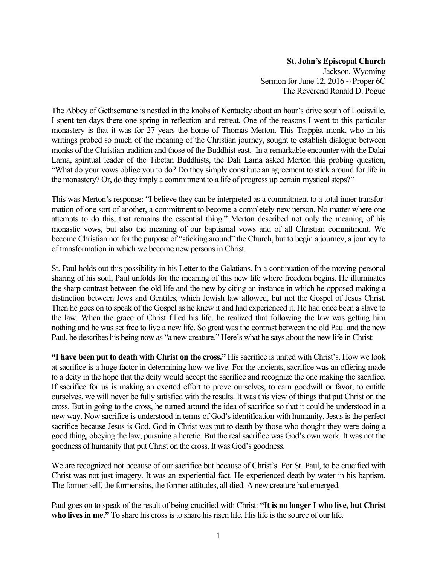**St. John's Episcopal Church** Jackson, Wyoming Sermon for June 12,  $2016 \sim$  Proper 6C The Reverend Ronald D. Pogue

The Abbey of Gethsemane is nestled in the knobs of Kentucky about an hour's drive south of Louisville. I spent ten days there one spring in reflection and retreat. One of the reasons I went to this particular monastery is that it was for 27 years the home of Thomas Merton. This Trappist monk, who in his writings probed so much of the meaning of the Christian journey, sought to establish dialogue between monks of the Christian tradition and those of the Buddhist east. In a remarkable encounter with the Dalai Lama, spiritual leader of the Tibetan Buddhists, the Dali Lama asked Merton this probing question, "What do your vows oblige you to do? Do they simply constitute an agreement to stick around for life in the monastery? Or, do they imply a commitment to a life of progress up certain mystical steps?"

This was Merton's response: "I believe they can be interpreted as a commitment to a total inner transformation of one sort of another, a commitment to become a completely new person. No matter where one attempts to do this, that remains the essential thing." Merton described not only the meaning of his monastic vows, but also the meaning of our baptismal vows and of all Christian commitment. We become Christian not for the purpose of "sticking around" the Church, but to begin a journey, a journey to of transformation in which we become new persons in Christ.

St. Paul holds out this possibility in his Letter to the Galatians. In a continuation of the moving personal sharing of his soul, Paul unfolds for the meaning of this new life where freedom begins. He illuminates the sharp contrast between the old life and the new by citing an instance in which he opposed making a distinction between Jews and Gentiles, which Jewish law allowed, but not the Gospel of Jesus Christ. Then he goes on to speak of the Gospel as he knew it and had experienced it. He had once been a slave to the law. When the grace of Christ filled his life, he realized that following the law was getting him nothing and he was set free to live a new life. So great was the contrast between the old Paul and the new Paul, he describes his being now as "a new creature." Here's what he says about the new life in Christ:

**"I have been put to death with Christ on the cross."** His sacrifice is united with Christ's. How we look at sacrifice is a huge factor in determining how we live. For the ancients, sacrifice was an offering made to a deity in the hope that the deity would accept the sacrifice and recognize the one making the sacrifice. If sacrifice for us is making an exerted effort to prove ourselves, to earn goodwill or favor, to entitle ourselves, we will never be fully satisfied with the results. It was this view of things that put Christ on the cross. But in going to the cross, he turned around the idea of sacrifice so that it could be understood in a new way. Now sacrifice is understood in terms of God's identification with humanity. Jesus is the perfect sacrifice because Jesus is God. God in Christ was put to death by those who thought they were doing a good thing, obeying the law, pursuing a heretic. But the real sacrifice was God's own work. It was not the goodness of humanity that put Christ on the cross. It was God's goodness.

We are recognized not because of our sacrifice but because of Christ's. For St. Paul, to be crucified with Christ was not just imagery. It was an experiential fact. He experienced death by water in his baptism. The former self, the former sins, the former attitudes, all died. A new creature had emerged.

Paul goes on to speak of the result of being crucified with Christ: **"It is no longer I who live, but Christ who lives in me."** To share his cross is to share his risen life. His life is the source of our life.